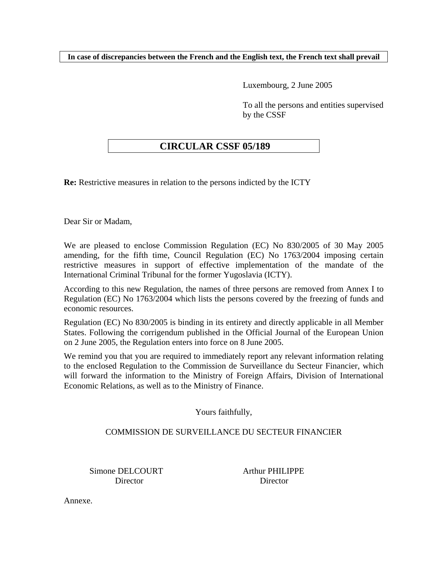**In case of discrepancies between the French and the English text, the French text shall prevail** 

Luxembourg, 2 June 2005

To all the persons and entities supervised by the CSSF

# **CIRCULAR CSSF 05/189**

**Re:** Restrictive measures in relation to the persons indicted by the ICTY

Dear Sir or Madam,

We are pleased to enclose Commission Regulation (EC) No 830/2005 of 30 May 2005 amending, for the fifth time, Council Regulation (EC) No 1763/2004 imposing certain restrictive measures in support of effective implementation of the mandate of the International Criminal Tribunal for the former Yugoslavia (ICTY).

According to this new Regulation, the names of three persons are removed from Annex I to Regulation (EC) No 1763/2004 which lists the persons covered by the freezing of funds and economic resources.

Regulation (EC) No 830/2005 is binding in its entirety and directly applicable in all Member States. Following the corrigendum published in the Official Journal of the European Union on 2 June 2005, the Regulation enters into force on 8 June 2005.

We remind you that you are required to immediately report any relevant information relating to the enclosed Regulation to the Commission de Surveillance du Secteur Financier, which will forward the information to the Ministry of Foreign Affairs, Division of International Economic Relations, as well as to the Ministry of Finance.

Yours faithfully,

# COMMISSION DE SURVEILLANCE DU SECTEUR FINANCIER

Simone DELCOURT Arthur PHILIPPE Director Director

Annexe.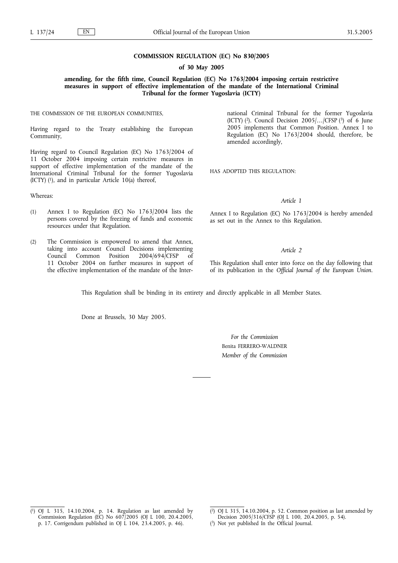#### **COMMISSION REGULATION (EC) No 830/2005**

#### **of 30 May 2005**

**amending, for the fifth time, Council Regulation (EC) No 1763/2004 imposing certain restrictive measures in support of effective implementation of the mandate of the International Criminal Tribunal for the former Yugoslavia (ICTY)**

THE COMMISSION OF THE EUROPEAN COMMUNITIES,

Having regard to the Treaty establishing the European Community,

Having regard to Council Regulation (EC) No 1763/2004 of 11 October 2004 imposing certain restrictive measures in support of effective implementation of the mandate of the International Criminal Tribunal for the former Yugoslavia (ICTY)  $(1)$ , and in particular Article 10(a) thereof,

Whereas:

- (1) Annex I to Regulation (EC) No 1763/2004 lists the persons covered by the freezing of funds and economic resources under that Regulation.
- (2) The Commission is empowered to amend that Annex, taking into account Council Decisions implementing Council Common Position 2004/694/CFSP of 11 October 2004 on further measures in support of the effective implementation of the mandate of the Inter-

national Criminal Tribunal for the former Yugoslavia (ICTY) (2). Council Decision 2005/*…*/CFSP (3) of 6 June 2005 implements that Common Position. Annex I to Regulation (EC) No 1763/2004 should, therefore, be amended accordingly,

HAS ADOPTED THIS REGULATION:

### *Article 1*

Annex I to Regulation (EC) No 1763/2004 is hereby amended as set out in the Annex to this Regulation.

#### *Article 2*

This Regulation shall enter into force on the day following that of its publication in the *Official Journal of the European Union*.

This Regulation shall be binding in its entirety and directly applicable in all Member States.

Done at Brussels, 30 May 2005.

*For the Commission* Benita FERRERO-WALDNER *Member of the Commission*

 $(1)$ 1) OJ L 315, 14.10.2004, p. 14. Regulation as last amended by Commission Regulation (EC) No 607/2005 (OJ L 100, 20.4.2005, p. 17. Corrigendum published in OJ L 104, 23.4.2005, p. 46).

<sup>(</sup> 2) OJ L 315, 14.10.2004, p. 52. Common position as last amended by

Decision 2005/316/CFSP (OJ L 100, 20.4.2005, p. 54).

<sup>(</sup> 3) Not yet published In the Official Journal.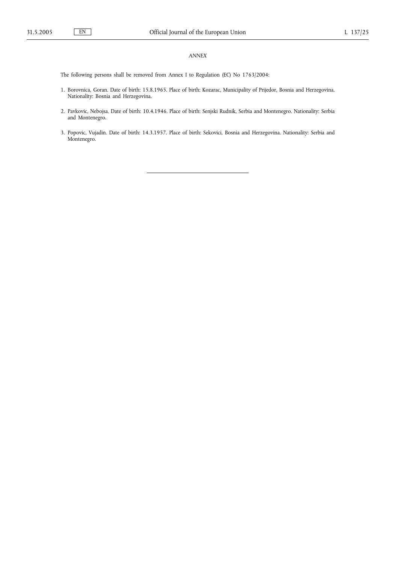# *ANNEX*

The following persons shall be removed from Annex I to Regulation (EC) No 1763/2004:

- 1. Borovnica, Goran. Date of birth: 15.8.1965. Place of birth: Kozarac, Municipality of Prijedor, Bosnia and Herzegovina. Nationality: Bosnia and Herzegovina.
- 2. Pavkovic, Nebojsa. Date of birth: 10.4.1946. Place of birth: Senjski Rudnik, Serbia and Montenegro. Nationality: Serbia and Montenegro.
- 3. Popovic, Vujadin. Date of birth: 14.3.1957. Place of birth: Sekovici, Bosnia and Herzegovina. Nationality: Serbia and Montenegro.